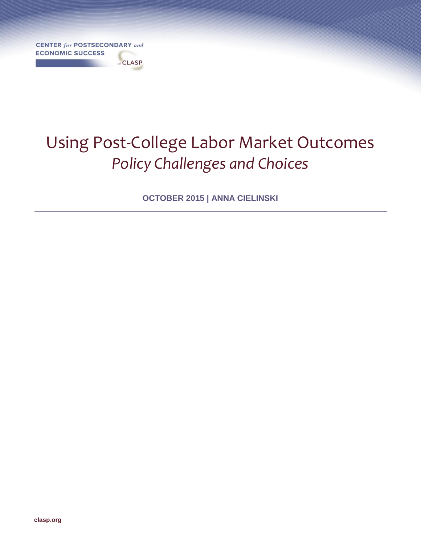**CENTER for POSTSECONDARY and ECONOMIC SUCCESS** 

at CLASP

# Using Post-College Labor Market Outcomes *Policy Challenges and Choices*

**OCTOBER 2015 | ANNA CIELINSKI**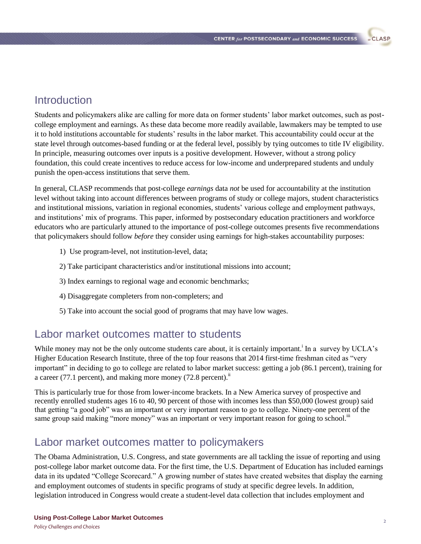# **Introduction**

Students and policymakers alike are calling for more data on former students' labor market outcomes, such as postcollege employment and earnings. As these data become more readily available, lawmakers may be tempted to use it to hold institutions accountable for students' results in the labor market. This accountability could occur at the state level through outcomes-based funding or at the federal level, possibly by tying outcomes to title IV eligibility. In principle, measuring outcomes over inputs is a positive development. However, without a strong policy foundation, this could create incentives to reduce access for low-income and underprepared students and unduly punish the open-access institutions that serve them.

In general, CLASP recommends that post-college *earnings* data *not* be used for accountability at the institution level without taking into account differences between programs of study or college majors, student characteristics and institutional missions, variation in regional economies, students' various college and employment pathways, and institutions' mix of programs. This paper, informed by postsecondary education practitioners and workforce educators who are particularly attuned to the importance of post-college outcomes presents five recommendations that policymakers should follow *before* they consider using earnings for high-stakes accountability purposes:

- 1) Use program-level, not institution-level, data;
- 2) Take participant characteristics and/or institutional missions into account;
- 3) Index earnings to regional wage and economic benchmarks;
- 4) Disaggregate completers from non-completers; and
- 5) Take into account the social good of programs that may have low wages.

# Labor market outcomes matter to students

While money may not be the only outcome students care about, it is certainly important.<sup>i</sup> In a survey by UCLA's Higher Education Research Institute, three of the top four reasons that 2014 first-time freshman cited as "very important" in deciding to go to college are related to labor market success: getting a job (86.1 percent), training for a career (77.1 percent), and making more money (72.8 percent). $<sup>1</sup>$ </sup>

This is particularly true for those from lower-income brackets. In a New America survey of prospective and recently enrolled students ages 16 to 40, 90 percent of those with incomes less than \$50,000 (lowest group) said that getting "a good job" was an important or very important reason to go to college. Ninety-one percent of the same group said making "more money" was an important or very important reason for going to school.<sup>III</sup>

# Labor market outcomes matter to policymakers

The Obama Administration, U.S. Congress, and state governments are all tackling the issue of reporting and using post-college labor market outcome data. For the first time, the U.S. Department of Education has included earnings data in its updated "College Scorecard." A growing number of states have created websites that display the earning and employment outcomes of students in specific programs of study at specific degree levels. In addition, legislation introduced in Congress would create a student-level data collection that includes employment and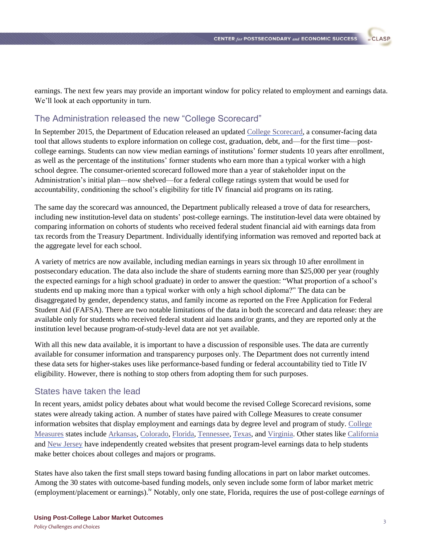**CLASP** 

earnings. The next few years may provide an important window for policy related to employment and earnings data. We'll look at each opportunity in turn.

### The Administration released the new "College Scorecard"

In September 2015, the Department of Education released an updated [College Scorecard,](https://collegescorecard.ed.gov/) a consumer-facing data tool that allows students to explore information on college cost, graduation, debt, and—for the first time—postcollege earnings. Students can now view median earnings of institutions' former students 10 years after enrollment, as well as the percentage of the institutions' former students who earn more than a typical worker with a high school degree. The consumer-oriented scorecard followed more than a year of stakeholder input on the Administration's initial plan—now shelved—for a federal college ratings system that would be used for accountability, conditioning the school's eligibility for title IV financial aid programs on its rating.

The same day the scorecard was announced, the Department publically released a trove of data for researchers, including new institution-level data on students' post-college earnings. The institution-level data were obtained by comparing information on cohorts of students who received federal student financial aid with earnings data from tax records from the Treasury Department. Individually identifying information was removed and reported back at the aggregate level for each school.

A variety of metrics are now available, including median earnings in years six through 10 after enrollment in postsecondary education. The data also include the share of students earning more than \$25,000 per year (roughly the expected earnings for a high school graduate) in order to answer the question: "What proportion of a school's students end up making more than a typical worker with only a high school diploma?" The data can be disaggregated by gender, dependency status, and family income as reported on the Free Application for Federal Student Aid (FAFSA). There are two notable limitations of the data in both the scorecard and data release: they are available only for students who received federal student aid loans and/or grants, and they are reported only at the institution level because program-of-study-level data are not yet available.

With all this new data available, it is important to have a discussion of responsible uses. The data are currently available for consumer information and transparency purposes only. The Department does not currently intend these data sets for higher-stakes uses like performance-based funding or federal accountability tied to Title IV eligibility. However, there is nothing to stop others from adopting them for such purposes.

### States have taken the lead

In recent years, amidst policy debates about what would become the revised College Scorecard revisions, some states were already taking action. A number of states have paired with College Measures to create consumer information websites that display employment and earnings data by degree level and program of study. [College](http://www.collegemeasures.org/esm/)  [Measures](http://www.collegemeasures.org/esm/) states includ[e Arkansas,](http://esm.collegemeasures.org/esm/arkansas/) [Colorado,](http://co.edpays.org/) [Florida,](http://beyondeducation.org/) [Tennessee,](http://www.edutrendstn.com/) [Texas,](http://esm.collegemeasures.org/esm/texas/) and [Virginia.](http://esm.collegemeasures.org/esm/virginia/) Other states like [California](http://salarysurfer.cccco.edu/SalarySurfer.aspx) and [New Jersey](http://www.njtrainingsystems.org/default.aspx) have independently created websites that present program-level earnings data to help students make better choices about colleges and majors or programs.

States have also taken the first small steps toward basing funding allocations in part on labor market outcomes. Among the 30 states with outcome-based funding models, only seven include some form of labor market metric (employment/placement or earnings).iv Notably, only one state, Florida, requires the use of post-college *earnings* of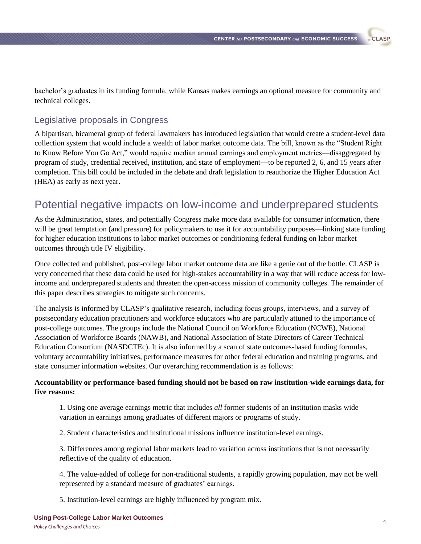**CLASP** 

bachelor's graduates in its funding formula, while Kansas makes earnings an optional measure for community and technical colleges.

### Legislative proposals in Congress

A bipartisan, bicameral group of federal lawmakers has introduced legislation that would create a student-level data collection system that would include a wealth of labor market outcome data. The bill, known as the "Student Right to Know Before You Go Act," would require median annual earnings and employment metrics—disaggregated by program of study, credential received, institution, and state of employment—to be reported 2, 6, and 15 years after completion. This bill could be included in the debate and draft legislation to reauthorize the Higher Education Act (HEA) as early as next year.

# Potential negative impacts on low-income and underprepared students

As the Administration, states, and potentially Congress make more data available for consumer information, there will be great temptation (and pressure) for policymakers to use it for accountability purposes—linking state funding for higher education institutions to labor market outcomes or conditioning federal funding on labor market outcomes through title IV eligibility.

Once collected and published, post-college labor market outcome data are like a genie out of the bottle. CLASP is very concerned that these data could be used for high-stakes accountability in a way that will reduce access for lowincome and underprepared students and threaten the open-access mission of community colleges. The remainder of this paper describes strategies to mitigate such concerns.

The analysis is informed by CLASP's qualitative research, including focus groups, interviews, and a survey of postsecondary education practitioners and workforce educators who are particularly attuned to the importance of post-college outcomes. The groups include the National Council on Workforce Education (NCWE), National Association of Workforce Boards (NAWB), and National Association of State Directors of Career Technical Education Consortium (NASDCTEc). It is also informed by a scan of state outcomes-based funding formulas, voluntary accountability initiatives, performance measures for other federal education and training programs, and state consumer information websites. Our overarching recommendation is as follows:

#### **Accountability or performance-based funding should not be based on raw institution-wide earnings data, for five reasons:**

1. Using one average earnings metric that includes *all* former students of an institution masks wide variation in earnings among graduates of different majors or programs of study.

2. Student characteristics and institutional missions influence institution-level earnings.

3. Differences among regional labor markets lead to variation across institutions that is not necessarily reflective of the quality of education.

4. The value-added of college for non-traditional students, a rapidly growing population, may not be well represented by a standard measure of graduates' earnings.

5. Institution-level earnings are highly influenced by program mix.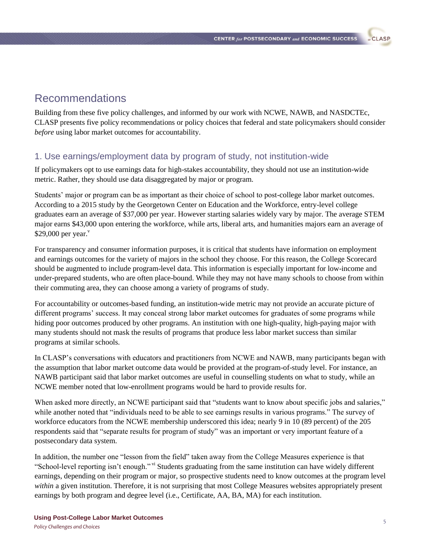# Recommendations

Building from these five policy challenges, and informed by our work with NCWE, NAWB, and NASDCTEc, CLASP presents five policy recommendations or policy choices that federal and state policymakers should consider *before* using labor market outcomes for accountability.

### 1. Use earnings/employment data by program of study, not institution-wide

If policymakers opt to use earnings data for high-stakes accountability, they should not use an institution-wide metric. Rather, they should use data disaggregated by major or program.

Students' major or program can be as important as their choice of school to post-college labor market outcomes. According to a 2015 study by the Georgetown Center on Education and the Workforce, entry-level college graduates earn an average of \$37,000 per year. However starting salaries widely vary by major. The average STEM major earns \$43,000 upon entering the workforce, while arts, liberal arts, and humanities majors earn an average of  $$29,000$  per year.<sup>v</sup>

For transparency and consumer information purposes, it is critical that students have information on employment and earnings outcomes for the variety of majors in the school they choose. For this reason, the College Scorecard should be augmented to include program-level data. This information is especially important for low-income and under-prepared students, who are often place-bound. While they may not have many schools to choose from within their commuting area, they can choose among a variety of programs of study.

For accountability or outcomes-based funding, an institution-wide metric may not provide an accurate picture of different programs' success. It may conceal strong labor market outcomes for graduates of some programs while hiding poor outcomes produced by other programs. An institution with one high-quality, high-paying major with many students should not mask the results of programs that produce less labor market success than similar programs at similar schools.

In CLASP's conversations with educators and practitioners from NCWE and NAWB, many participants began with the assumption that labor market outcome data would be provided at the program-of-study level. For instance, an NAWB participant said that labor market outcomes are useful in counselling students on what to study, while an NCWE member noted that low-enrollment programs would be hard to provide results for.

When asked more directly, an NCWE participant said that "students want to know about specific jobs and salaries," while another noted that "individuals need to be able to see earnings results in various programs." The survey of workforce educators from the NCWE membership underscored this idea; nearly 9 in 10 (89 percent) of the 205 respondents said that "separate results for program of study" was an important or very important feature of a postsecondary data system.

In addition, the number one "lesson from the field" taken away from the College Measures experience is that "School-level reporting isn't enough." <sup>vi</sup> Students graduating from the same institution can have widely different earnings, depending on their program or major, so prospective students need to know outcomes at the program level *within* a given institution. Therefore, it is not surprising that most College Measures websites appropriately present earnings by both program and degree level (i.e., Certificate, AA, BA, MA) for each institution.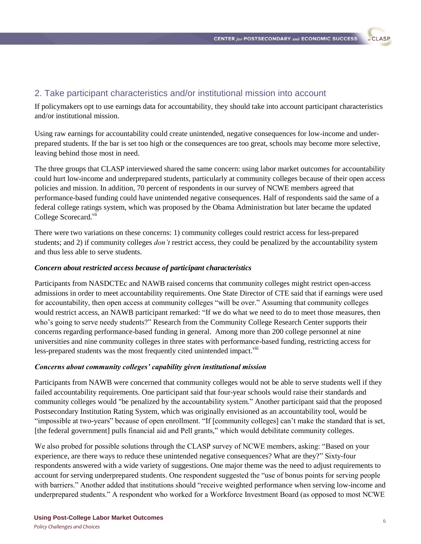### 2. Take participant characteristics and/or institutional mission into account

If policymakers opt to use earnings data for accountability, they should take into account participant characteristics and/or institutional mission.

Using raw earnings for accountability could create unintended, negative consequences for low-income and underprepared students. If the bar is set too high or the consequences are too great, schools may become more selective, leaving behind those most in need.

The three groups that CLASP interviewed shared the same concern: using labor market outcomes for accountability could hurt low-income and underprepared students, particularly at community colleges because of their open access policies and mission. In addition, 70 percent of respondents in our survey of NCWE members agreed that performance-based funding could have unintended negative consequences. Half of respondents said the same of a federal college ratings system, which was proposed by the Obama Administration but later became the updated College Scorecard.<sup>vii</sup>

There were two variations on these concerns: 1) community colleges could restrict access for less-prepared students; and 2) if community colleges *don't* restrict access, they could be penalized by the accountability system and thus less able to serve students.

#### *Concern about restricted access because of participant characteristics*

Participants from NASDCTEc and NAWB raised concerns that community colleges might restrict open-access admissions in order to meet accountability requirements. One State Director of CTE said that if earnings were used for accountability, then open access at community colleges "will be over." Assuming that community colleges would restrict access, an NAWB participant remarked: "If we do what we need to do to meet those measures, then who's going to serve needy students?" Research from the Community College Research Center supports their concerns regarding performance-based funding in general. Among more than 200 college personnel at nine universities and nine community colleges in three states with performance-based funding, restricting access for less-prepared students was the most frequently cited unintended impact.<sup>viii</sup>

#### *Concerns about community colleges' capability given institutional mission*

Participants from NAWB were concerned that community colleges would not be able to serve students well if they failed accountability requirements. One participant said that four-year schools would raise their standards and community colleges would "be penalized by the accountability system." Another participant said that the proposed Postsecondary Institution Rating System, which was originally envisioned as an accountability tool, would be "impossible at two-years" because of open enrollment. "If [community colleges] can't make the standard that is set, [the federal government] pulls financial aid and Pell grants," which would debilitate community colleges.

We also probed for possible solutions through the CLASP survey of NCWE members, asking: "Based on your experience, are there ways to reduce these unintended negative consequences? What are they?" Sixty-four respondents answered with a wide variety of suggestions. One major theme was the need to adjust requirements to account for serving underprepared students. One respondent suggested the "use of bonus points for serving people with barriers." Another added that institutions should "receive weighted performance when serving low-income and underprepared students." A respondent who worked for a Workforce Investment Board (as opposed to most NCWE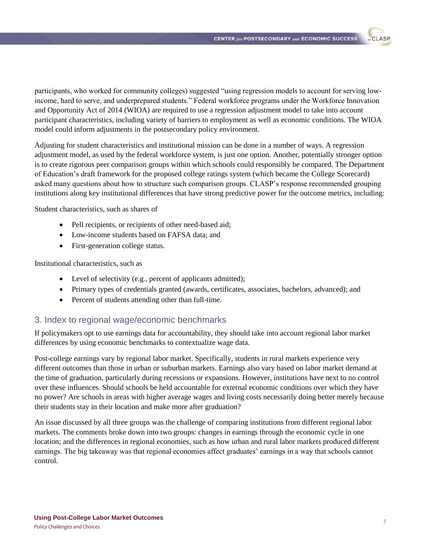participants, who worked for community colleges) suggested "using regression models to account for serving lowincome, hard to serve, and underprepared students." Federal workforce programs under the Workforce Innovation and Opportunity Act of 2014 (WIOA) are required to use a regression adjustment model to take into account participant characteristics, including variety of barriers to employment as well as economic conditions. The WIOA model could inform adjustments in the postsecondary policy environment.

Adjusting for student characteristics and institutional mission can be done in a number of ways. A regression adjustment model, as used by the federal workforce system, is just one option. Another, potentially stronger option is to create rigorous peer comparison groups within which schools could responsibly be compared. The Department of Education's draft framework for the proposed college ratings system (which became the College Scorecard) asked many questions about how to structure such comparison groups. CLASP's response recommended grouping institutions along key institutional differences that have strong predictive power for the outcome metrics, including:

Student characteristics, such as shares of

- Pell recipients, or recipients of other need-based aid;
- Low-income students based on FAFSA data; and
- First-generation college status.

Institutional characteristics, such as

- Level of selectivity (e.g., percent of applicants admitted);
- Primary types of credentials granted (awards, certificates, associates, bachelors, advanced); and
- Percent of students attending other than full-time.

### 3. Index to regional wage/economic benchmarks

If policymakers opt to use earnings data for accountability, they should take into account regional labor market differences by using economic benchmarks to contextualize wage data.

Post-college earnings vary by regional labor market. Specifically, students in rural markets experience very different outcomes than those in urban or suburban markets. Earnings also vary based on labor market demand at the time of graduation, particularly during recessions or expansions. However, institutions have next to no control over these influences. Should schools be held accountable for external economic conditions over which they have no power? Are schools in areas with higher average wages and living costs necessarily doing better merely because their students stay in their location and make more after graduation?

An issue discussed by all three groups was the challenge of comparing institutions from different regional labor markets. The comments broke down into two groups: changes in earnings through the economic cycle in one location; and the differences in regional economies, such as how urban and rural labor markets produced different earnings. The big takeaway was that regional economies affect graduates' earnings in a way that schools cannot control.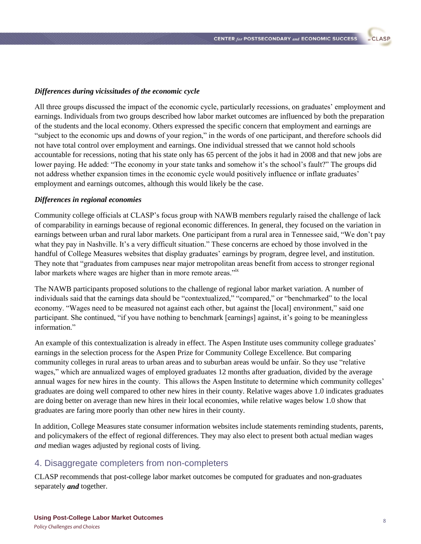#### *Differences during vicissitudes of the economic cycle*

All three groups discussed the impact of the economic cycle, particularly recessions, on graduates' employment and earnings. Individuals from two groups described how labor market outcomes are influenced by both the preparation of the students and the local economy. Others expressed the specific concern that employment and earnings are "subject to the economic ups and downs of your region," in the words of one participant, and therefore schools did not have total control over employment and earnings. One individual stressed that we cannot hold schools accountable for recessions, noting that his state only has 65 percent of the jobs it had in 2008 and that new jobs are lower paying. He added: "The economy in your state tanks and somehow it's the school's fault?" The groups did not address whether expansion times in the economic cycle would positively influence or inflate graduates' employment and earnings outcomes, although this would likely be the case.

#### *Differences in regional economies*

Community college officials at CLASP's focus group with NAWB members regularly raised the challenge of lack of comparability in earnings because of regional economic differences. In general, they focused on the variation in earnings between urban and rural labor markets. One participant from a rural area in Tennessee said, "We don't pay what they pay in Nashville. It's a very difficult situation." These concerns are echoed by those involved in the handful of College Measures websites that display graduates' earnings by program, degree level, and institution. They note that "graduates from campuses near major metropolitan areas benefit from access to stronger regional labor markets where wages are higher than in more remote areas."

The NAWB participants proposed solutions to the challenge of regional labor market variation. A number of individuals said that the earnings data should be "contextualized," "compared," or "benchmarked" to the local economy. "Wages need to be measured not against each other, but against the [local] environment," said one participant. She continued, "if you have nothing to benchmark [earnings] against, it's going to be meaningless information"

An example of this contextualization is already in effect. The Aspen Institute uses community college graduates' earnings in the selection process for the Aspen Prize for Community College Excellence. But comparing community colleges in rural areas to urban areas and to suburban areas would be unfair. So they use "relative wages," which are annualized wages of employed graduates 12 months after graduation, divided by the average annual wages for new hires in the county. This allows the Aspen Institute to determine which community colleges' graduates are doing well compared to other new hires in their county. Relative wages above 1.0 indicates graduates are doing better on average than new hires in their local economies, while relative wages below 1.0 show that graduates are faring more poorly than other new hires in their county.

In addition, College Measures state consumer information websites include statements reminding students, parents, and policymakers of the effect of regional differences. They may also elect to present both actual median wages *and* median wages adjusted by regional costs of living.

### 4. Disaggregate completers from non-completers

CLASP recommends that post-college labor market outcomes be computed for graduates and non-graduates separately *and* together.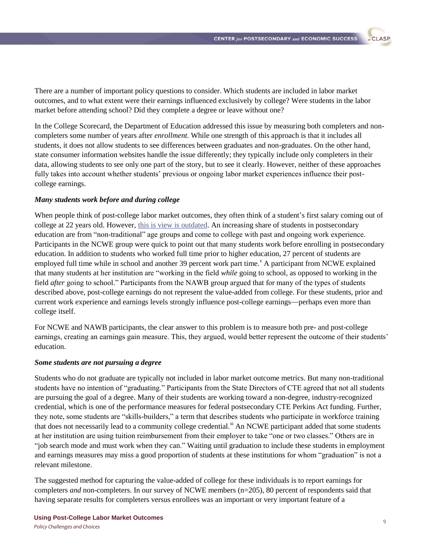There are a number of important policy questions to consider. Which students are included in labor market outcomes, and to what extent were their earnings influenced exclusively by college? Were students in the labor market before attending school? Did they complete a degree or leave without one?

In the College Scorecard, the Department of Education addressed this issue by measuring both completers and noncompleters some number of years after *enrollment.* While one strength of this approach is that it includes all students, it does not allow students to see differences between graduates and non-graduates. On the other hand, state consumer information websites handle the issue differently; they typically include only completers in their data, allowing students to see only one part of the story, but to see it clearly. However, neither of these approaches fully takes into account whether students' previous or ongoing labor market experiences influence their postcollege earnings.

#### *Many students work before and during college*

When people think of post-college labor market outcomes, they often think of a student's first salary coming out of college at 22 years old. However[, this is view is outdated.](http://www.clasp.org/resources-and-publications/publication-1/CPES-Nontraditional-students-pdf.pdf) An increasing share of students in postsecondary education are from "non-traditional" age groups and come to college with past and ongoing work experience. Participants in the NCWE group were quick to point out that many students work before enrolling in postsecondary education. In addition to students who worked full time prior to higher education, 27 percent of students are employed full time while in school and another 39 percent work part time.<sup>x</sup> A participant from NCWE explained that many students at her institution are "working in the field *while* going to school, as opposed to working in the field *after* going to school." Participants from the NAWB group argued that for many of the types of students described above, post-college earnings do not represent the value-added from college. For these students, prior and current work experience and earnings levels strongly influence post-college earnings—perhaps even more than college itself.

For NCWE and NAWB participants, the clear answer to this problem is to measure both pre- and post-college earnings, creating an earnings gain measure. This, they argued, would better represent the outcome of their students' education.

#### *Some students are not pursuing a degree*

Students who do not graduate are typically not included in labor market outcome metrics. But many non-traditional students have no intention of "graduating." Participants from the State Directors of CTE agreed that not all students are pursuing the goal of a degree. Many of their students are working toward a non-degree, industry-recognized credential, which is one of the performance measures for federal postsecondary CTE Perkins Act funding. Further, they note, some students are "skills-builders," a term that describes students who participate in workforce training that does not necessarily lead to a community college credential.<sup>xi</sup> An NCWE participant added that some students at her institution are using tuition reimbursement from their employer to take "one or two classes." Others are in "job search mode and must work when they can." Waiting until graduation to include these students in employment and earnings measures may miss a good proportion of students at these institutions for whom "graduation" is not a relevant milestone.

The suggested method for capturing the value-added of college for these individuals is to report earnings for completers *and* non-completers. In our survey of NCWE members (n=205), 80 percent of respondents said that having separate results for completers versus enrollees was an important or very important feature of a

**Using Post-College Labor Market Outcomes** *Policy Challenges and Choices*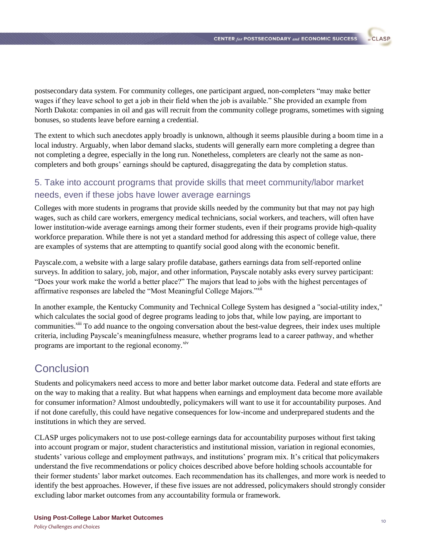postsecondary data system. For community colleges, one participant argued, non-completers "may make better wages if they leave school to get a job in their field when the job is available." She provided an example from North Dakota: companies in oil and gas will recruit from the community college programs, sometimes with signing bonuses, so students leave before earning a credential.

The extent to which such anecdotes apply broadly is unknown, although it seems plausible during a boom time in a local industry. Arguably, when labor demand slacks, students will generally earn more completing a degree than not completing a degree, especially in the long run. Nonetheless, completers are clearly not the same as noncompleters and both groups' earnings should be captured, disaggregating the data by completion status.

## 5. Take into account programs that provide skills that meet community/labor market needs, even if these jobs have lower average earnings

Colleges with more students in programs that provide skills needed by the community but that may not pay high wages, such as child care workers, emergency medical technicians, social workers, and teachers, will often have lower institution-wide average earnings among their former students, even if their programs provide high-quality workforce preparation. While there is not yet a standard method for addressing this aspect of college value, there are examples of systems that are attempting to quantify social good along with the economic benefit.

Payscale.com, a website with a large salary profile database, gathers earnings data from self-reported online surveys. In addition to salary, job, major, and other information, Payscale notably asks every survey participant: "Does your work make the world a better place?" The majors that lead to jobs with the highest percentages of affirmative responses are labeled the "Most Meaningful College Majors."<sup>xii</sup>

In another example, the Kentucky Community and Technical College System has designed a "social-utility index," which calculates the social good of degree programs leading to jobs that, while low paying, are important to communities.<sup>xiii</sup> To add nuance to the ongoing conversation about the best-value degrees, their index uses multiple criteria, including Payscale's meaningfulness measure, whether programs lead to a career pathway, and whether programs are important to the regional economy.<sup>xiv</sup>

# **Conclusion**

Students and policymakers need access to more and better labor market outcome data. Federal and state efforts are on the way to making that a reality. But what happens when earnings and employment data become more available for consumer information? Almost undoubtedly, policymakers will want to use it for accountability purposes. And if not done carefully, this could have negative consequences for low-income and underprepared students and the institutions in which they are served.

CLASP urges policymakers not to use post-college earnings data for accountability purposes without first taking into account program or major, student characteristics and institutional mission, variation in regional economies, students' various college and employment pathways, and institutions' program mix. It's critical that policymakers understand the five recommendations or policy choices described above before holding schools accountable for their former students' labor market outcomes. Each recommendation has its challenges, and more work is needed to identify the best approaches. However, if these five issues are not addressed, policymakers should strongly consider excluding labor market outcomes from any accountability formula or framework.